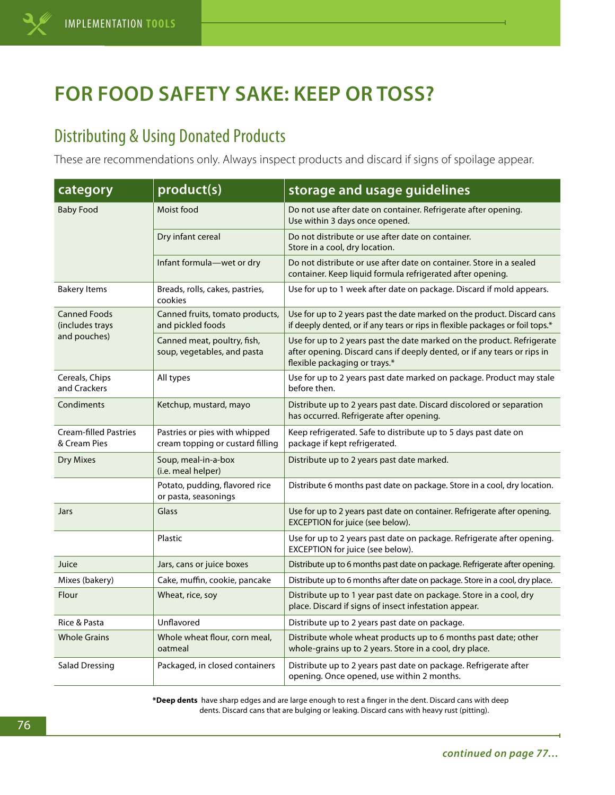## **FOR FOOD SAFETY SAKE: KEEP OR TOSS?**

## Distributing & Using Donated Products

These are recommendations only. Always inspect products and discard if signs of spoilage appear.

| category                                               | product(s)                                                        | storage and usage guidelines                                                                                                                                                        |
|--------------------------------------------------------|-------------------------------------------------------------------|-------------------------------------------------------------------------------------------------------------------------------------------------------------------------------------|
| <b>Baby Food</b>                                       | Moist food                                                        | Do not use after date on container. Refrigerate after opening.<br>Use within 3 days once opened.                                                                                    |
|                                                        | Dry infant cereal                                                 | Do not distribute or use after date on container.<br>Store in a cool, dry location.                                                                                                 |
|                                                        | Infant formula-wet or dry                                         | Do not distribute or use after date on container. Store in a sealed<br>container. Keep liquid formula refrigerated after opening.                                                   |
| <b>Bakery Items</b>                                    | Breads, rolls, cakes, pastries,<br>cookies                        | Use for up to 1 week after date on package. Discard if mold appears.                                                                                                                |
| <b>Canned Foods</b><br>(includes trays<br>and pouches) | Canned fruits, tomato products,<br>and pickled foods              | Use for up to 2 years past the date marked on the product. Discard cans<br>if deeply dented, or if any tears or rips in flexible packages or foil tops.*                            |
|                                                        | Canned meat, poultry, fish,<br>soup, vegetables, and pasta        | Use for up to 2 years past the date marked on the product. Refrigerate<br>after opening. Discard cans if deeply dented, or if any tears or rips in<br>flexible packaging or trays.* |
| Cereals, Chips<br>and Crackers                         | All types                                                         | Use for up to 2 years past date marked on package. Product may stale<br>before then.                                                                                                |
| Condiments                                             | Ketchup, mustard, mayo                                            | Distribute up to 2 years past date. Discard discolored or separation<br>has occurred. Refrigerate after opening.                                                                    |
| <b>Cream-filled Pastries</b><br>& Cream Pies           | Pastries or pies with whipped<br>cream topping or custard filling | Keep refrigerated. Safe to distribute up to 5 days past date on<br>package if kept refrigerated.                                                                                    |
| <b>Dry Mixes</b>                                       | Soup, meal-in-a-box<br>(i.e. meal helper)                         | Distribute up to 2 years past date marked.                                                                                                                                          |
|                                                        | Potato, pudding, flavored rice<br>or pasta, seasonings            | Distribute 6 months past date on package. Store in a cool, dry location.                                                                                                            |
| Jars                                                   | Glass                                                             | Use for up to 2 years past date on container. Refrigerate after opening.<br>EXCEPTION for juice (see below).                                                                        |
|                                                        | Plastic                                                           | Use for up to 2 years past date on package. Refrigerate after opening.<br>EXCEPTION for juice (see below).                                                                          |
| Juice                                                  | Jars, cans or juice boxes                                         | Distribute up to 6 months past date on package. Refrigerate after opening.                                                                                                          |
| Mixes (bakery)                                         | Cake, muffin, cookie, pancake                                     | Distribute up to 6 months after date on package. Store in a cool, dry place.                                                                                                        |
| Flour                                                  | Wheat, rice, soy                                                  | Distribute up to 1 year past date on package. Store in a cool, dry<br>place. Discard if signs of insect infestation appear.                                                         |
| Rice & Pasta                                           | Unflavored                                                        | Distribute up to 2 years past date on package.                                                                                                                                      |
| <b>Whole Grains</b>                                    | Whole wheat flour, corn meal,<br>oatmeal                          | Distribute whole wheat products up to 6 months past date; other<br>whole-grains up to 2 years. Store in a cool, dry place.                                                          |
| <b>Salad Dressing</b>                                  | Packaged, in closed containers                                    | Distribute up to 2 years past date on package. Refrigerate after<br>opening. Once opened, use within 2 months.                                                                      |

**\*Deep dents** have sharp edges and are large enough to rest a finger in the dent. Discard cans with deep dents. Discard cans that are bulging or leaking. Discard cans with heavy rust (pitting).